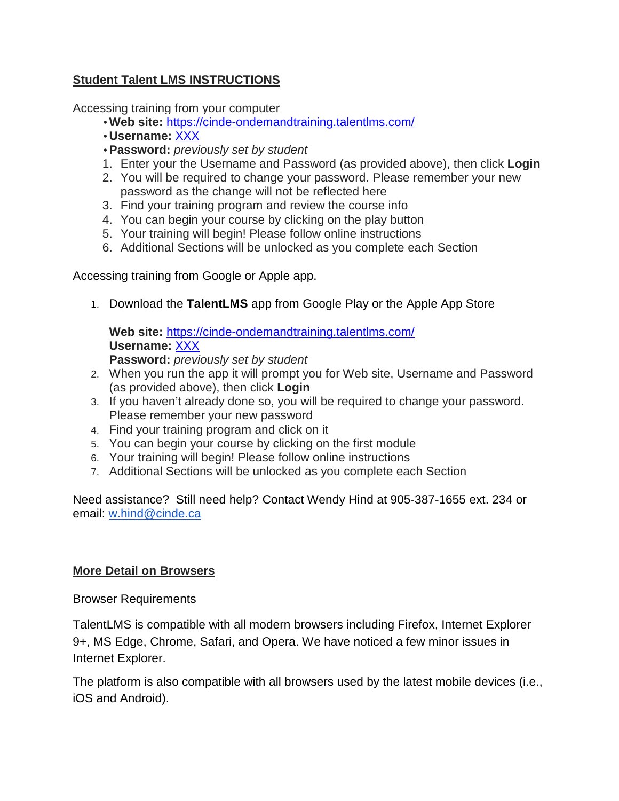# **Student Talent LMS INSTRUCTIONS**

Accessing training from your computer

- **Web site:** https://cinde-ondemandtraining.talentlms.com/
- **Username:** XXX
- **Password:** previously set by student
- 1. Enter your the Username and Password (as provided above), then click **Login**
- 2. You will be required to change your password. Please remember your new password as the change will not be reflected here
- 3. Find your training program and review the course info
- 4. You can begin your course by clicking on the play button
- 5. Your training will begin! Please follow online instructions
- 6. Additional Sections will be unlocked as you complete each Section

Accessing training from Google or Apple app.

1. Download the **TalentLMS** app from Google Play or the Apple App Store

**Web site:** https://cinde-ondemandtraining.talentlms.com/ **Username:** XXX **Password:** previously set by student

- 2. When you run the app it will prompt you for Web site, Username and Password (as provided above), then click **Login**
- 3. If you haven't already done so, you will be required to change your password. Please remember your new password
- 4. Find your training program and click on it
- 5. You can begin your course by clicking on the first module
- 6. Your training will begin! Please follow online instructions
- 7. Additional Sections will be unlocked as you complete each Section

Need assistance? Still need help? Contact Wendy Hind at 905-387-1655 ext. 234 or email: w.hind@cinde.ca

## **More Detail on Browsers**

Browser Requirements

TalentLMS is compatible with all modern browsers including Firefox, Internet Explorer 9+, MS Edge, Chrome, Safari, and Opera. We have noticed a few minor issues in Internet Explorer.

The platform is also compatible with all browsers used by the latest mobile devices (i.e., iOS and Android).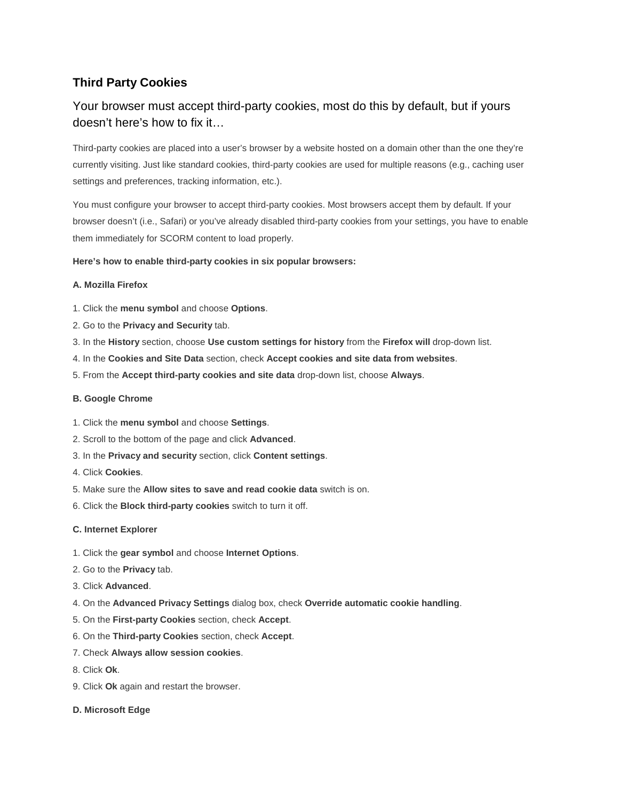## **Third Party Cookies**

# Your browser must accept third-party cookies, most do this by default, but if yours doesn't here's how to fix it…

Third-party cookies are placed into a user's browser by a website hosted on a domain other than the one they're currently visiting. Just like standard cookies, third-party cookies are used for multiple reasons (e.g., caching user settings and preferences, tracking information, etc.).

You must configure your browser to accept third-party cookies. Most browsers accept them by default. If your browser doesn't (i.e., Safari) or you've already disabled third-party cookies from your settings, you have to enable them immediately for SCORM content to load properly.

### **Here's how to enable third-party cookies in six popular browsers:**

#### **A. Mozilla Firefox**

- 1. Click the **menu symbol** and choose **Options**.
- 2. Go to the **Privacy and Security** tab.
- 3. In the **History** section, choose **Use custom settings for history** from the **Firefox will** drop-down list.
- 4. In the **Cookies and Site Data** section, check **Accept cookies and site data from websites**.
- 5. From the **Accept third-party cookies and site data** drop-down list, choose **Always**.

#### **B. Google Chrome**

- 1. Click the **menu symbol** and choose **Settings**.
- 2. Scroll to the bottom of the page and click **Advanced**.
- 3. In the **Privacy and security** section, click **Content settings**.
- 4. Click **Cookies**.
- 5. Make sure the **Allow sites to save and read cookie data** switch is on.
- 6. Click the **Block third-party cookies** switch to turn it off.

#### **C. Internet Explorer**

- 1. Click the **gear symbol** and choose **Internet Options**.
- 2. Go to the **Privacy** tab.
- 3. Click **Advanced**.
- 4. On the **Advanced Privacy Settings** dialog box, check **Override automatic cookie handling**.
- 5. On the **First-party Cookies** section, check **Accept**.
- 6. On the **Third-party Cookies** section, check **Accept**.
- 7. Check **Always allow session cookies**.
- 8. Click **Ok**.
- 9. Click **Ok** again and restart the browser.
- **D. Microsoft Edge**